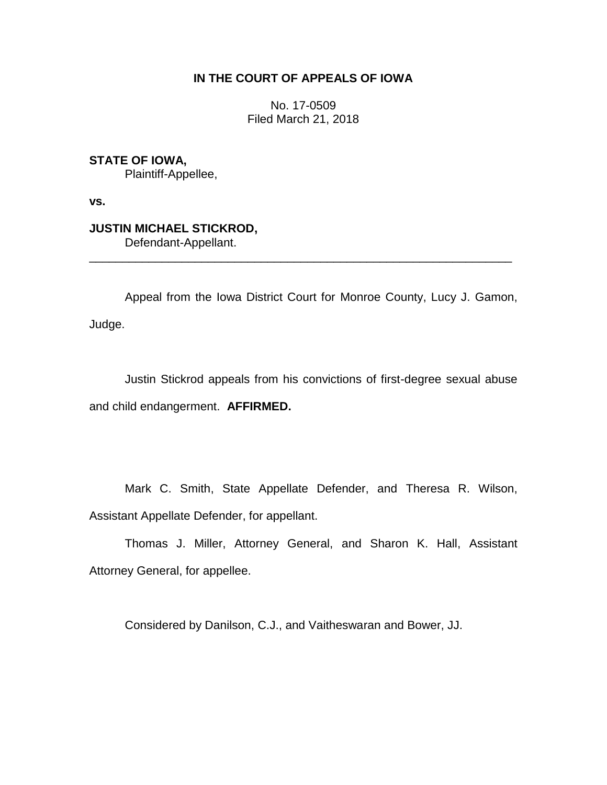## **IN THE COURT OF APPEALS OF IOWA**

No. 17-0509 Filed March 21, 2018

**STATE OF IOWA,** Plaintiff-Appellee,

**vs.**

**JUSTIN MICHAEL STICKROD,** Defendant-Appellant.

Appeal from the Iowa District Court for Monroe County, Lucy J. Gamon, Judge.

\_\_\_\_\_\_\_\_\_\_\_\_\_\_\_\_\_\_\_\_\_\_\_\_\_\_\_\_\_\_\_\_\_\_\_\_\_\_\_\_\_\_\_\_\_\_\_\_\_\_\_\_\_\_\_\_\_\_\_\_\_\_\_\_

Justin Stickrod appeals from his convictions of first-degree sexual abuse and child endangerment. **AFFIRMED.**

Mark C. Smith, State Appellate Defender, and Theresa R. Wilson, Assistant Appellate Defender, for appellant.

Thomas J. Miller, Attorney General, and Sharon K. Hall, Assistant Attorney General, for appellee.

Considered by Danilson, C.J., and Vaitheswaran and Bower, JJ.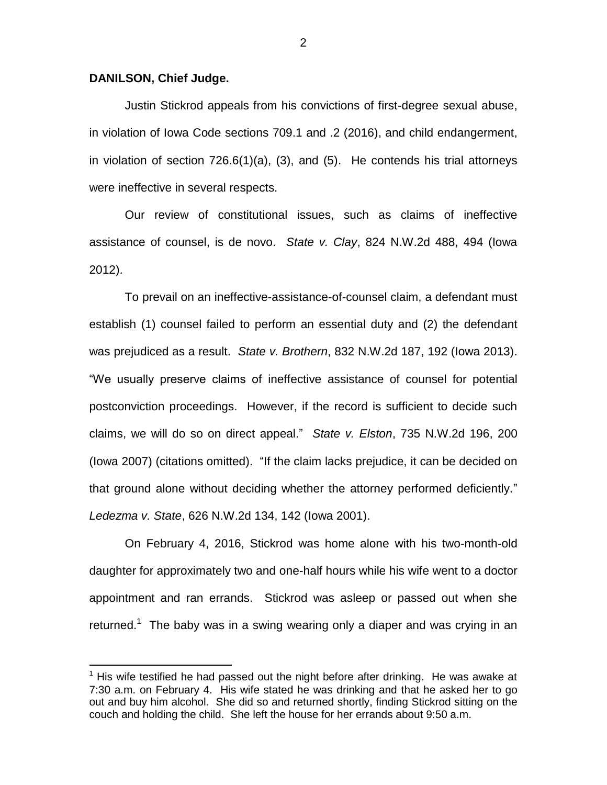## **DANILSON, Chief Judge.**

 $\overline{a}$ 

Justin Stickrod appeals from his convictions of first-degree sexual abuse, in violation of Iowa Code sections 709.1 and .2 (2016), and child endangerment, in violation of section 726.6(1)(a), (3), and (5). He contends his trial attorneys were ineffective in several respects.

Our review of constitutional issues, such as claims of ineffective assistance of counsel, is de novo. *State v. Clay*, 824 N.W.2d 488, 494 (Iowa 2012).

To prevail on an ineffective-assistance-of-counsel claim, a defendant must establish (1) counsel failed to perform an essential duty and (2) the defendant was prejudiced as a result. *State v. Brothern*, 832 N.W.2d 187, 192 (Iowa 2013). "We usually preserve claims of ineffective assistance of counsel for potential postconviction proceedings. However, if the record is sufficient to decide such claims, we will do so on direct appeal." *State v. Elston*, 735 N.W.2d 196, 200 (Iowa 2007) (citations omitted). "If the claim lacks prejudice, it can be decided on that ground alone without deciding whether the attorney performed deficiently." *Ledezma v. State*, 626 N.W.2d 134, 142 (Iowa 2001).

On February 4, 2016, Stickrod was home alone with his two-month-old daughter for approximately two and one-half hours while his wife went to a doctor appointment and ran errands. Stickrod was asleep or passed out when she returned.<sup>1</sup> The baby was in a swing wearing only a diaper and was crying in an

 $1$  His wife testified he had passed out the night before after drinking. He was awake at 7:30 a.m. on February 4. His wife stated he was drinking and that he asked her to go out and buy him alcohol. She did so and returned shortly, finding Stickrod sitting on the couch and holding the child. She left the house for her errands about 9:50 a.m.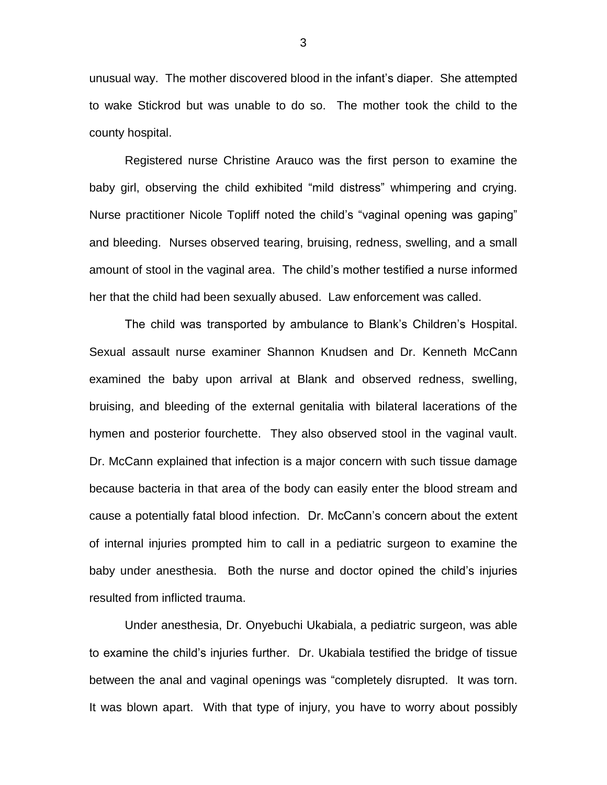unusual way. The mother discovered blood in the infant's diaper. She attempted to wake Stickrod but was unable to do so. The mother took the child to the county hospital.

Registered nurse Christine Arauco was the first person to examine the baby girl, observing the child exhibited "mild distress" whimpering and crying. Nurse practitioner Nicole Topliff noted the child's "vaginal opening was gaping" and bleeding. Nurses observed tearing, bruising, redness, swelling, and a small amount of stool in the vaginal area. The child's mother testified a nurse informed her that the child had been sexually abused. Law enforcement was called.

The child was transported by ambulance to Blank's Children's Hospital. Sexual assault nurse examiner Shannon Knudsen and Dr. Kenneth McCann examined the baby upon arrival at Blank and observed redness, swelling, bruising, and bleeding of the external genitalia with bilateral lacerations of the hymen and posterior fourchette. They also observed stool in the vaginal vault. Dr. McCann explained that infection is a major concern with such tissue damage because bacteria in that area of the body can easily enter the blood stream and cause a potentially fatal blood infection. Dr. McCann's concern about the extent of internal injuries prompted him to call in a pediatric surgeon to examine the baby under anesthesia. Both the nurse and doctor opined the child's injuries resulted from inflicted trauma.

Under anesthesia, Dr. Onyebuchi Ukabiala, a pediatric surgeon, was able to examine the child's injuries further. Dr. Ukabiala testified the bridge of tissue between the anal and vaginal openings was "completely disrupted. It was torn. It was blown apart. With that type of injury, you have to worry about possibly

3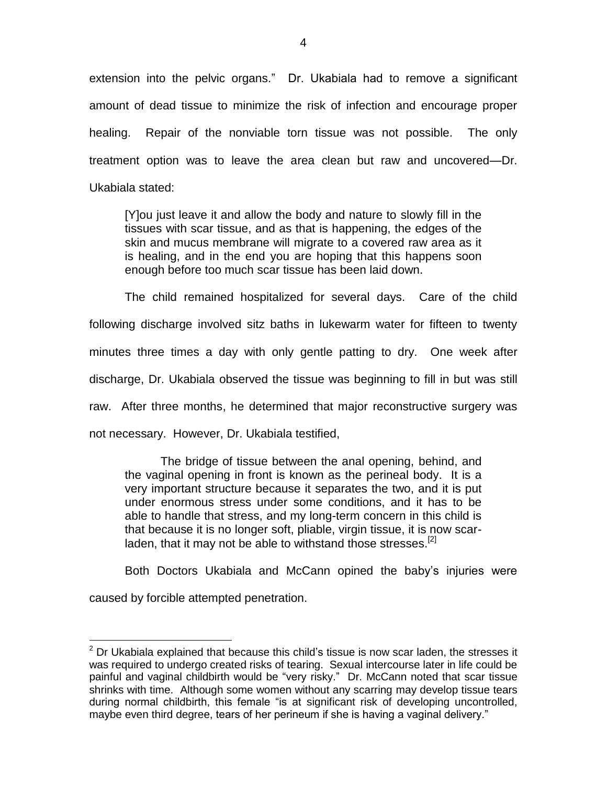extension into the pelvic organs." Dr. Ukabiala had to remove a significant amount of dead tissue to minimize the risk of infection and encourage proper healing. Repair of the nonviable torn tissue was not possible. The only treatment option was to leave the area clean but raw and uncovered—Dr. Ukabiala stated:

[Y]ou just leave it and allow the body and nature to slowly fill in the tissues with scar tissue, and as that is happening, the edges of the skin and mucus membrane will migrate to a covered raw area as it is healing, and in the end you are hoping that this happens soon enough before too much scar tissue has been laid down.

The child remained hospitalized for several days. Care of the child following discharge involved sitz baths in lukewarm water for fifteen to twenty minutes three times a day with only gentle patting to dry. One week after discharge, Dr. Ukabiala observed the tissue was beginning to fill in but was still raw. After three months, he determined that major reconstructive surgery was not necessary. However, Dr. Ukabiala testified,

The bridge of tissue between the anal opening, behind, and the vaginal opening in front is known as the perineal body. It is a very important structure because it separates the two, and it is put under enormous stress under some conditions, and it has to be able to handle that stress, and my long-term concern in this child is that because it is no longer soft, pliable, virgin tissue, it is now scarladen, that it may not be able to withstand those stresses.  $^{[2]}$ 

Both Doctors Ukabiala and McCann opined the baby's injuries were

caused by forcible attempted penetration.

 $\overline{a}$ 

 $2$  Dr Ukabiala explained that because this child's tissue is now scar laden, the stresses it was required to undergo created risks of tearing. Sexual intercourse later in life could be painful and vaginal childbirth would be "very risky." Dr. McCann noted that scar tissue shrinks with time. Although some women without any scarring may develop tissue tears during normal childbirth, this female "is at significant risk of developing uncontrolled, maybe even third degree, tears of her perineum if she is having a vaginal delivery."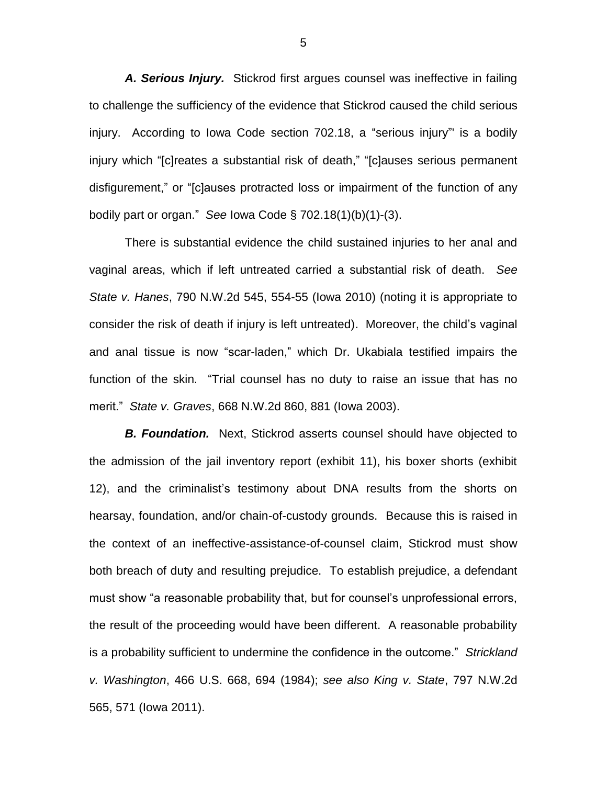*A. Serious Injury.* Stickrod first argues counsel was ineffective in failing to challenge the sufficiency of the evidence that Stickrod caused the child serious injury. According to Iowa Code section 702.18, a "serious injury"' is a bodily injury which "[c]reates a substantial risk of death," "[c]auses serious permanent disfigurement," or "[c]auses protracted loss or impairment of the function of any bodily part or organ." *See* Iowa Code § 702.18(1)(b)(1)-(3).

There is substantial evidence the child sustained injuries to her anal and vaginal areas, which if left untreated carried a substantial risk of death. *See State v. Hanes*, 790 N.W.2d 545, 554-55 (Iowa 2010) (noting it is appropriate to consider the risk of death if injury is left untreated). Moreover, the child's vaginal and anal tissue is now "scar-laden," which Dr. Ukabiala testified impairs the function of the skin. "Trial counsel has no duty to raise an issue that has no merit." *State v. Graves*, 668 N.W.2d 860, 881 (Iowa 2003).

*B. Foundation.* Next, Stickrod asserts counsel should have objected to the admission of the jail inventory report (exhibit 11), his boxer shorts (exhibit 12), and the criminalist's testimony about DNA results from the shorts on hearsay, foundation, and/or chain-of-custody grounds. Because this is raised in the context of an ineffective-assistance-of-counsel claim, Stickrod must show both breach of duty and resulting prejudice. To establish prejudice, a defendant must show "a reasonable probability that, but for counsel's unprofessional errors, the result of the proceeding would have been different. A reasonable probability is a probability sufficient to undermine the confidence in the outcome." *Strickland v. Washington*, 466 U.S. 668, 694 (1984); *see also King v. State*, 797 N.W.2d 565, 571 (Iowa 2011).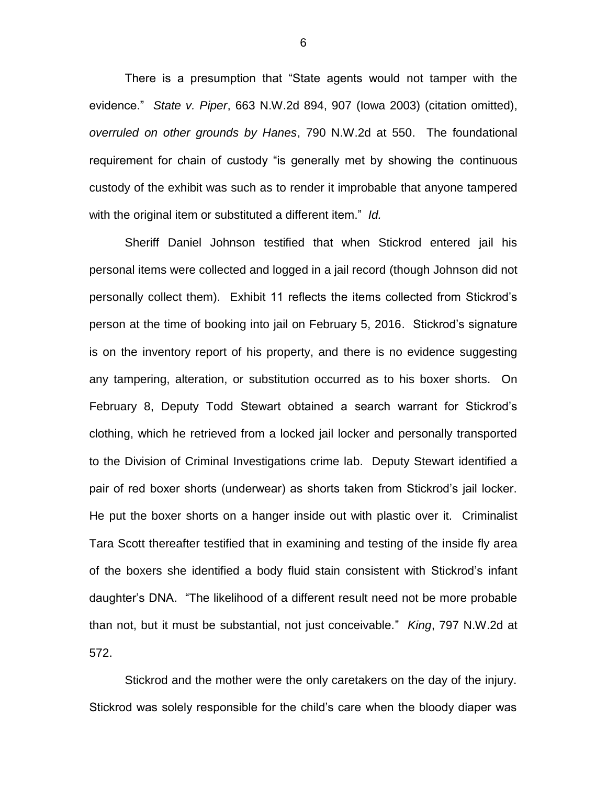There is a presumption that "State agents would not tamper with the evidence." *State v. Piper*, 663 N.W.2d 894, 907 (Iowa 2003) (citation omitted), *overruled on other grounds by Hanes*, 790 N.W.2d at 550. The foundational requirement for chain of custody "is generally met by showing the continuous custody of the exhibit was such as to render it improbable that anyone tampered with the original item or substituted a different item." *Id.* 

Sheriff Daniel Johnson testified that when Stickrod entered jail his personal items were collected and logged in a jail record (though Johnson did not personally collect them). Exhibit 11 reflects the items collected from Stickrod's person at the time of booking into jail on February 5, 2016. Stickrod's signature is on the inventory report of his property, and there is no evidence suggesting any tampering, alteration, or substitution occurred as to his boxer shorts. On February 8, Deputy Todd Stewart obtained a search warrant for Stickrod's clothing, which he retrieved from a locked jail locker and personally transported to the Division of Criminal Investigations crime lab. Deputy Stewart identified a pair of red boxer shorts (underwear) as shorts taken from Stickrod's jail locker. He put the boxer shorts on a hanger inside out with plastic over it. Criminalist Tara Scott thereafter testified that in examining and testing of the inside fly area of the boxers she identified a body fluid stain consistent with Stickrod's infant daughter's DNA. "The likelihood of a different result need not be more probable than not, but it must be substantial, not just conceivable." *King*, 797 N.W.2d at 572.

Stickrod and the mother were the only caretakers on the day of the injury. Stickrod was solely responsible for the child's care when the bloody diaper was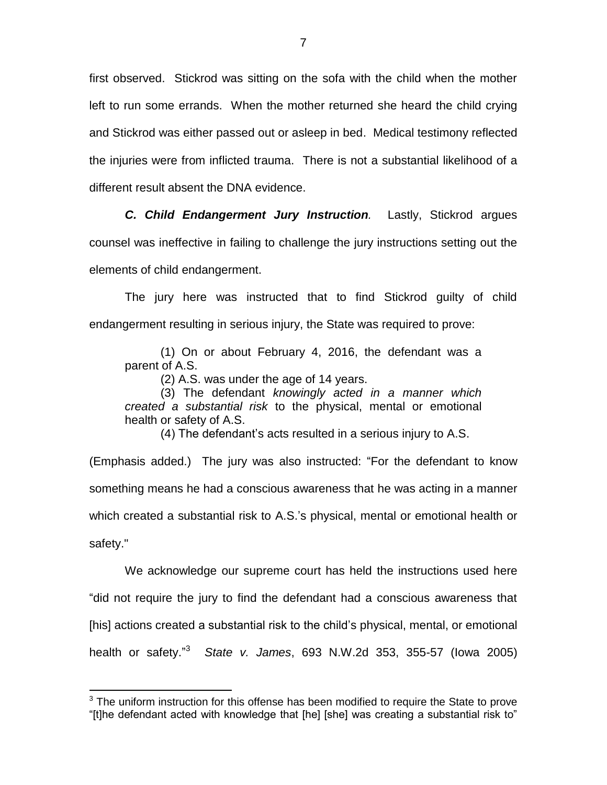first observed. Stickrod was sitting on the sofa with the child when the mother left to run some errands. When the mother returned she heard the child crying and Stickrod was either passed out or asleep in bed. Medical testimony reflected the injuries were from inflicted trauma. There is not a substantial likelihood of a different result absent the DNA evidence.

*C. Child Endangerment Jury Instruction.* Lastly, Stickrod argues counsel was ineffective in failing to challenge the jury instructions setting out the elements of child endangerment.

The jury here was instructed that to find Stickrod guilty of child endangerment resulting in serious injury, the State was required to prove:

(1) On or about February 4, 2016, the defendant was a parent of A.S.

(2) A.S. was under the age of 14 years.

(3) The defendant *knowingly acted in a manner which created a substantial risk* to the physical, mental or emotional health or safety of A.S.

(4) The defendant's acts resulted in a serious injury to A.S.

(Emphasis added.) The jury was also instructed: "For the defendant to know something means he had a conscious awareness that he was acting in a manner which created a substantial risk to A.S.'s physical, mental or emotional health or safety."

We acknowledge our supreme court has held the instructions used here "did not require the jury to find the defendant had a conscious awareness that [his] actions created a substantial risk to the child's physical, mental, or emotional health or safety." 3 *State v. James*, 693 N.W.2d 353, 355-57 (Iowa 2005)

 $\overline{a}$ 

 $3$  The uniform instruction for this offense has been modified to require the State to prove "[t]he defendant acted with knowledge that [he] [she] was creating a substantial risk to"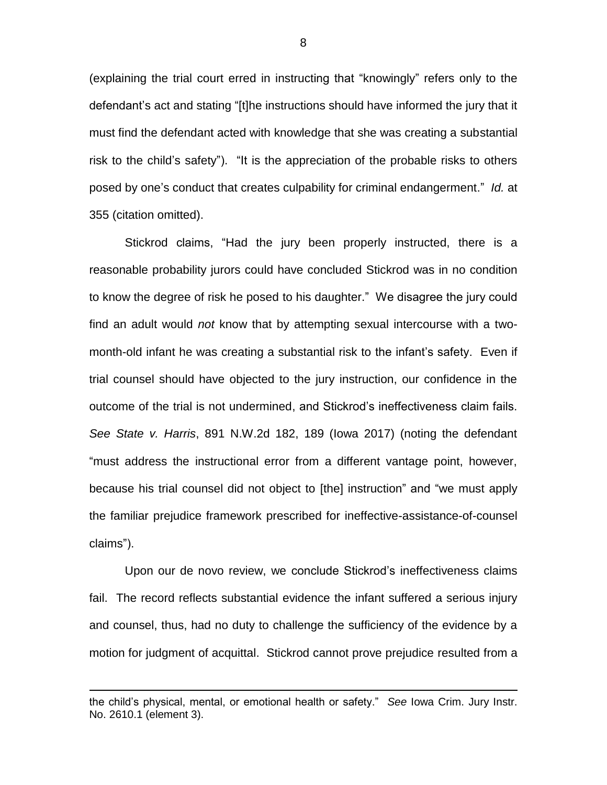(explaining the trial court erred in instructing that "knowingly" refers only to the defendant's act and stating "[t]he instructions should have informed the jury that it must find the defendant acted with knowledge that she was creating a substantial risk to the child's safety"). "It is the appreciation of the probable risks to others posed by one's conduct that creates culpability for criminal endangerment." *Id.* at 355 (citation omitted).

Stickrod claims, "Had the jury been properly instructed, there is a reasonable probability jurors could have concluded Stickrod was in no condition to know the degree of risk he posed to his daughter." We disagree the jury could find an adult would *not* know that by attempting sexual intercourse with a twomonth-old infant he was creating a substantial risk to the infant's safety. Even if trial counsel should have objected to the jury instruction, our confidence in the outcome of the trial is not undermined, and Stickrod's ineffectiveness claim fails. *See State v. Harris*, 891 N.W.2d 182, 189 (Iowa 2017) (noting the defendant "must address the instructional error from a different vantage point, however, because his trial counsel did not object to [the] instruction" and "we must apply the familiar prejudice framework prescribed for ineffective-assistance-of-counsel claims").

Upon our de novo review, we conclude Stickrod's ineffectiveness claims fail. The record reflects substantial evidence the infant suffered a serious injury and counsel, thus, had no duty to challenge the sufficiency of the evidence by a motion for judgment of acquittal. Stickrod cannot prove prejudice resulted from a

 $\overline{a}$ 

the child's physical, mental, or emotional health or safety." *See* Iowa Crim. Jury Instr. No. 2610.1 (element 3).